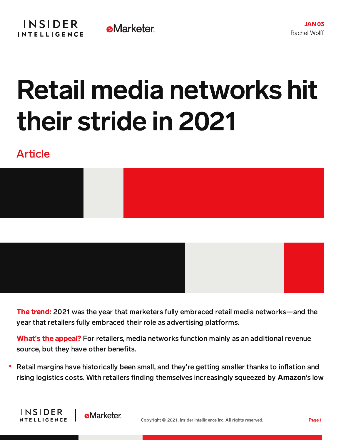## Retail media networks hit their stride in 2021

## Article

**INSIDER** 

INTELLIGENCE

**eMarketer** 





The trend: 2021 was the year that marketers fully embraced retail media networks—and the year that retailers fully embraced their role as advertising platforms.

What**'**s the appeal? For retailers, media networks function mainly as an additional revenue source, but they have other benefits.

Retail margins have historically been small, and they're getting smaller thanks to inflation and rising logistics costs. With retailers finding themselves increasingly squeezed by Amazon's low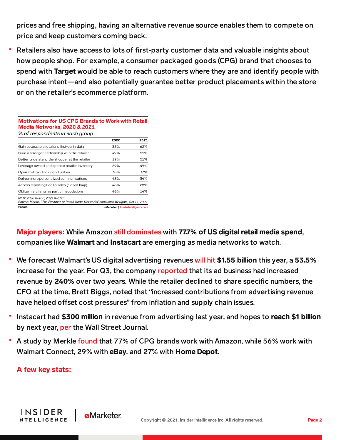prices and free shipping, having an alternative revenue source enables them to compete on price and keep customers coming back.

Retailers also have access to lots of first-party customer data and valuable insights about how people shop. For example, a consumer packaged goods (CPG) brand that chooses to spend with Target would be able to reach customers where they are and identify people with purchase intent—and also potentially guarantee better product placements within the store or on the retailer's ecommerce platform.

| % of respondents in each group                                                                                           |                                     |      |
|--------------------------------------------------------------------------------------------------------------------------|-------------------------------------|------|
|                                                                                                                          | 2020                                | 2021 |
| Gain access to a retailer's first-party data                                                                             | 33%                                 | 62%  |
| Build a stronger partnership with the retailer                                                                           | 49%                                 | 51%  |
| Better understand the shopper at the retailer                                                                            | 19%                                 | 51%  |
| Leverage owned and operate retailer inventory                                                                            | 29%                                 | 49%  |
| Open co-branding opportunities                                                                                           | 38%                                 | 37%  |
| Deliver more personalized communications                                                                                 | 43%                                 | 34%  |
| Access reporting tied to sales (closed loop)                                                                             | 48%                                 | 28%  |
| Oblige merchants as part of negotiations                                                                                 | 48%                                 | 14%  |
| Note: 2020 n=100: 2021 n=100<br>Source: Merkle, "The Evolution of Retail Media Networks" conducted by Ugam, Oct 11, 2021 |                                     |      |
| 270408                                                                                                                   | eMarketer   InsiderIntelligence.com |      |

**Motivations for US CPG Brands to Work with Retail** 

**Media Networks, 2020 & 2021** 

Major players: While Amazon still dominates with 77.7% of US digital retail media spend, companies like Walmart and Instacart are emerging as media networks to watch.

- We forecast Walmart's US digital advertising revenues will hit \$1.55 billion this year, a 53.5% increase for the year. For Q3, the company [reported](https://corporate.walmart.com/media-library/document/q3-fy22-investment-community-call-transcript/_proxyDocument?id=0000017d-29d6-d92b-a97f-fddee48b0000) that its ad business had increased revenue by 240% over two years. While the retailer declined to share specific numbers, the CFO at the time, Brett Biggs, noted that "increased contributions from advertising revenue have helped offset cost pressures" from inflation and supply chain issues.
- Instacart had \$300 million in revenue from advertising last year, and hopes to reach \$1 billion by next year, [per](https://www.wsj.com/articles/instacart-goes-deeper-into-digital-advertising-as-grocery-delivery-slows-11630920600) the Wall Street Journal.
- A study by Merkle [found](https://www.merkleinc.com/thought-leadership/white-papers/evolution-e-retail) that 77% of CPG brands work with Amazon, while 56% work with Walmart Connect, 29% with eBay, and 27% with Home Depot.

## A few key stats:

**INSIDER** 

**INTELLIGENCE** 

**e**Marketer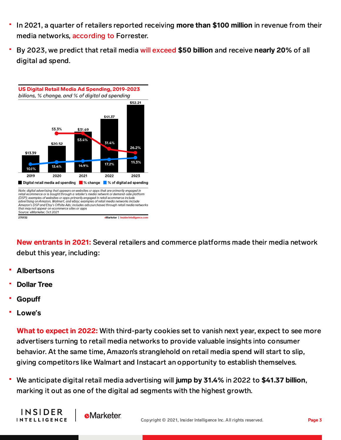- In 2021, a quarter of retailers reported receiving more than \$100 million in revenue from their media networks, [according](https://www.epsilon.com/us/insights/blog/5-insights-on-the-future-of-retail-media) to Forrester.
- By 2023, we predict that retail media will exceed \$50 billion and receive nearly 20% of all digital ad spend.



New entrants in 2021: Several retailers and commerce platforms made their media network debut this year, including:

- Albertsons
- Dollar Tree
- **Gopuff**
- Lowe**'**s

What to expect in 2022: With third-party cookies set to vanish next year, expect to see more advertisers turning to retail media networks to provide valuable insights into consumer behavior. At the same time, Amazon's stranglehold on retail media spend will start to slip, giving competitors like Walmart and Instacart an opportunity to establish themselves.

We anticipate digital retail media advertising will jump by 31.4% in 2022 to \$41.37 billion, marking it out as one of the digital ad segments with the highest growth.